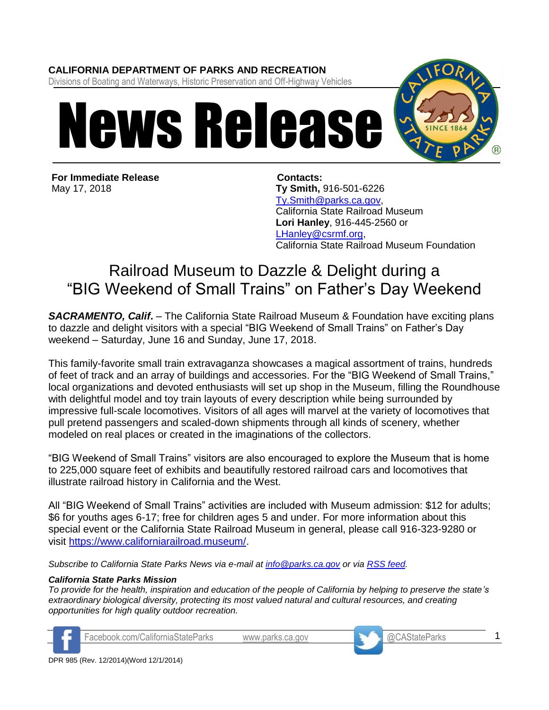## **CALIFORNIA DEPARTMENT OF PARKS AND RECREATION**

Divisions of Boating and Waterways, Historic Preservation and Off-Highway Vehicles



**For Immediate Release** May 17, 2018

**Contacts: Ty Smith,** 916-501-6226 [Ty.Smith@parks.ca.gov,](mailto:Ty.Smith@parks.ca.gov) California State Railroad Museum **Lori Hanley**, 916-445-2560 or [LHanley@csrmf.org,](mailto:LHanley@csrmf.org) California State Railroad Museum Foundation

## Railroad Museum to Dazzle & Delight during a "BIG Weekend of Small Trains" on Father's Day Weekend

*SACRAMENTO, Calif***.** – The California State Railroad Museum & Foundation have exciting plans to dazzle and delight visitors with a special "BIG Weekend of Small Trains" on Father's Day weekend – Saturday, June 16 and Sunday, June 17, 2018.

This family-favorite small train extravaganza showcases a magical assortment of trains, hundreds of feet of track and an array of buildings and accessories. For the "BIG Weekend of Small Trains," local organizations and devoted enthusiasts will set up shop in the Museum, filling the Roundhouse with delightful model and toy train layouts of every description while being surrounded by impressive full-scale locomotives. Visitors of all ages will marvel at the variety of locomotives that pull pretend passengers and scaled-down shipments through all kinds of scenery, whether modeled on real places or created in the imaginations of the collectors.

"BIG Weekend of Small Trains" visitors are also encouraged to explore the Museum that is home to 225,000 square feet of exhibits and beautifully restored railroad cars and locomotives that illustrate railroad history in California and the West.

All "BIG Weekend of Small Trains" activities are included with Museum admission: \$12 for adults; \$6 for youths ages 6-17; free for children ages 5 and under. For more information about this special event or the California State Railroad Museum in general, please call 916-323-9280 or visit [https://www.californiarailroad.museum/.](https://www.californiarailroad.museum/)

*Subscribe to California State Parks News via e-mail at [info@parks.ca.gov](mailto:info@parks.ca.gov) or via [RSS feed.](http://feeds.feedburner.com/CaliforniaStateParks?format=xml)* 

## *California State Parks Mission*

*To provide for the health, inspiration and education of the people of California by helping to preserve the state's extraordinary biological diversity, protecting its most valued natural and cultural resources, and creating opportunities for high quality outdoor recreation.* 



Facebook.com/CaliforniaStateParks [www.parks.ca.gov](http://www.parks.ca.gov/) @CAStateParks



1